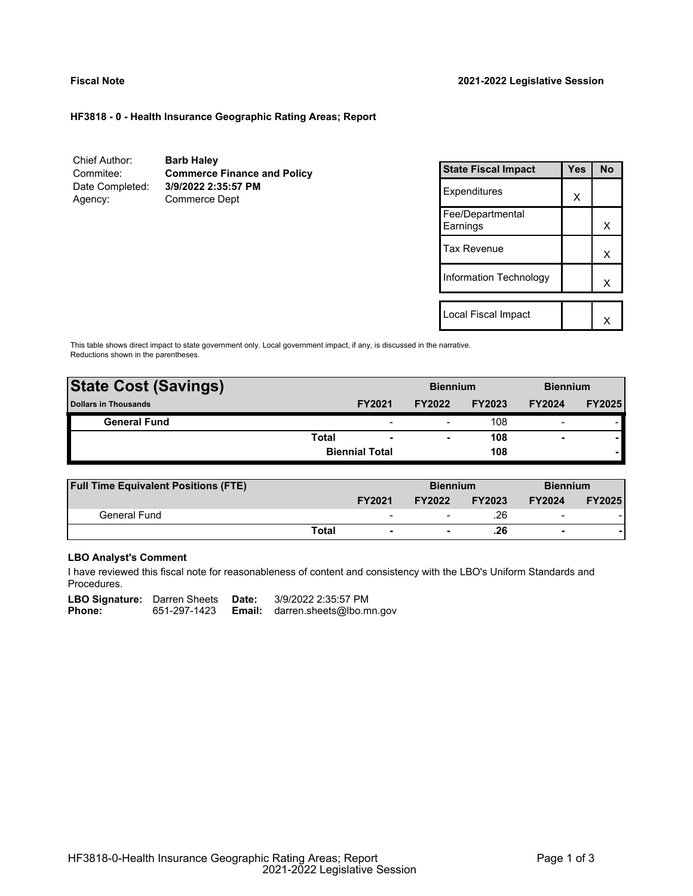# **HF3818 - 0 - Health Insurance Geographic Rating Areas; Report**

| Chief Author:   | <b>Barb Haley</b>                  |
|-----------------|------------------------------------|
| Commitee:       | <b>Commerce Finance and Policy</b> |
| Date Completed: | 3/9/2022 2:35:57 PM                |
| Agency:         | <b>Commerce Dept</b>               |

| <b>State Fiscal Impact</b>   | Yes | <b>No</b> |
|------------------------------|-----|-----------|
| Expenditures                 | x   |           |
| Fee/Departmental<br>Earnings |     | x         |
| Tax Revenue                  |     | x         |
| Information Technology       |     | x         |
| Local Fiscal Impact          |     |           |
|                              |     |           |

This table shows direct impact to state government only. Local government impact, if any, is discussed in the narrative. Reductions shown in the parentheses.

| <b>State Cost (Savings)</b> |       |                          | <b>Biennium</b>          |               | <b>Biennium</b> |               |
|-----------------------------|-------|--------------------------|--------------------------|---------------|-----------------|---------------|
| <b>Dollars in Thousands</b> |       | <b>FY2021</b>            | <b>FY2022</b>            | <b>FY2023</b> | <b>FY2024</b>   | <b>FY2025</b> |
| <b>General Fund</b>         |       | $\overline{\phantom{0}}$ | $\overline{\phantom{0}}$ | 108           | $\blacksquare$  |               |
|                             | Total | $\overline{\phantom{0}}$ | $\blacksquare$           | 108           | ۰               |               |
|                             |       | <b>Biennial Total</b>    |                          | 108           |                 |               |
|                             |       |                          |                          |               |                 |               |

| <b>Full Time Equivalent Positions (FTE)</b> |       |                          | <b>Biennium</b> |               | <b>Biennium</b>          |               |
|---------------------------------------------|-------|--------------------------|-----------------|---------------|--------------------------|---------------|
|                                             |       | <b>FY2021</b>            | <b>FY2022</b>   | <b>FY2023</b> | <b>FY2024</b>            | <b>FY2025</b> |
| General Fund                                |       | $\overline{\phantom{a}}$ |                 | .26           | $\overline{\phantom{0}}$ |               |
|                                             | Total | $\blacksquare$           |                 | .26           | $\overline{\phantom{0}}$ |               |

# **LBO Analyst's Comment**

I have reviewed this fiscal note for reasonableness of content and consistency with the LBO's Uniform Standards and Procedures.

LBO Signature: Darren Sheets Date: 3/9/2022 2:35:57 PM<br>Phone: 651-297-1423 **Email:** darren.sheets@lbo.m 651-297-1423 **Email:** darren.sheets@lbo.mn.gov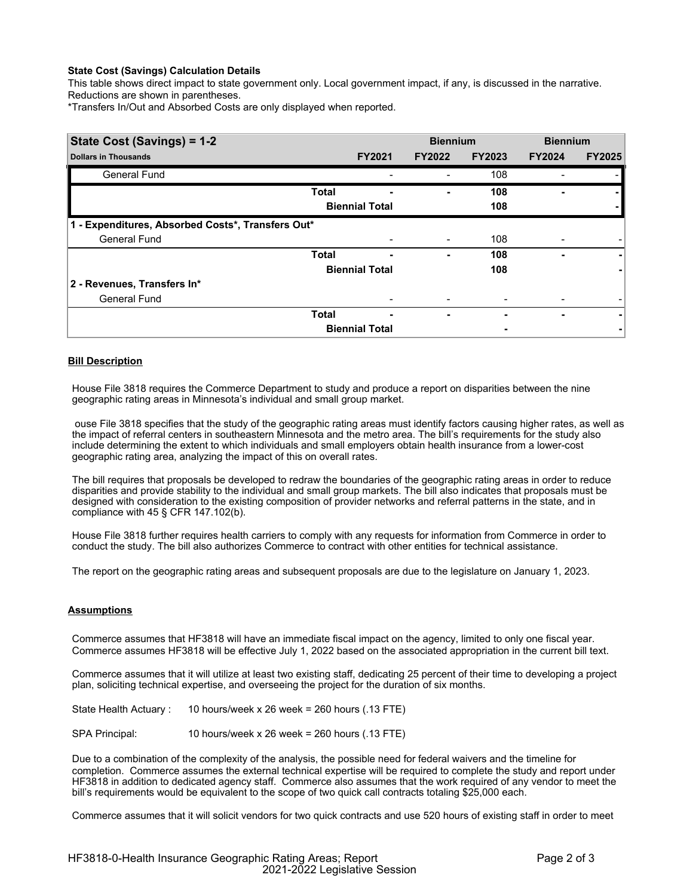### **State Cost (Savings) Calculation Details**

This table shows direct impact to state government only. Local government impact, if any, is discussed in the narrative. Reductions are shown in parentheses.

\*Transfers In/Out and Absorbed Costs are only displayed when reported.

| State Cost (Savings) = 1-2                        |              |                       | <b>Biennium</b> |               | <b>Biennium</b> |               |
|---------------------------------------------------|--------------|-----------------------|-----------------|---------------|-----------------|---------------|
| <b>Dollars in Thousands</b>                       |              | <b>FY2021</b>         | <b>FY2022</b>   | <b>FY2023</b> | <b>FY2024</b>   | <b>FY2025</b> |
| <b>General Fund</b>                               |              |                       |                 | 108           |                 |               |
|                                                   | <b>Total</b> |                       |                 | 108           |                 |               |
|                                                   |              | <b>Biennial Total</b> |                 | 108           |                 |               |
| 1 - Expenditures, Absorbed Costs*, Transfers Out* |              |                       |                 |               |                 |               |
| <b>General Fund</b>                               |              |                       |                 | 108           |                 |               |
|                                                   | <b>Total</b> | ۰                     | ۰               | 108           | -               | ۰             |
|                                                   |              | <b>Biennial Total</b> |                 | 108           |                 |               |
| 2 - Revenues, Transfers In*                       |              |                       |                 |               |                 |               |
| <b>General Fund</b>                               |              |                       |                 |               |                 |               |
|                                                   | <b>Total</b> | ٠                     | ٠               |               | ٠               | ۰             |
|                                                   |              | <b>Biennial Total</b> |                 |               |                 |               |

# **Bill Description**

House File 3818 requires the Commerce Department to study and produce a report on disparities between the nine geographic rating areas in Minnesota's individual and small group market.

ouse File 3818 specifies that the study of the geographic rating areas must identify factors causing higher rates, as well as the impact of referral centers in southeastern Minnesota and the metro area. The bill's requirements for the study also include determining the extent to which individuals and small employers obtain health insurance from a lower-cost geographic rating area, analyzing the impact of this on overall rates.

The bill requires that proposals be developed to redraw the boundaries of the geographic rating areas in order to reduce disparities and provide stability to the individual and small group markets. The bill also indicates that proposals must be designed with consideration to the existing composition of provider networks and referral patterns in the state, and in compliance with 45 § CFR 147.102(b).

House File 3818 further requires health carriers to comply with any requests for information from Commerce in order to conduct the study. The bill also authorizes Commerce to contract with other entities for technical assistance.

The report on the geographic rating areas and subsequent proposals are due to the legislature on January 1, 2023.

### **Assumptions**

Commerce assumes that HF3818 will have an immediate fiscal impact on the agency, limited to only one fiscal year. Commerce assumes HF3818 will be effective July 1, 2022 based on the associated appropriation in the current bill text.

Commerce assumes that it will utilize at least two existing staff, dedicating 25 percent of their time to developing a project plan, soliciting technical expertise, and overseeing the project for the duration of six months.

State Health Actuary : 10 hours/week x 26 week = 260 hours (.13 FTE)

SPA Principal: 10 hours/week x 26 week = 260 hours (.13 FTE)

Due to a combination of the complexity of the analysis, the possible need for federal waivers and the timeline for completion. Commerce assumes the external technical expertise will be required to complete the study and report under HF3818 in addition to dedicated agency staff. Commerce also assumes that the work required of any vendor to meet the bill's requirements would be equivalent to the scope of two quick call contracts totaling \$25,000 each.

Commerce assumes that it will solicit vendors for two quick contracts and use 520 hours of existing staff in order to meet